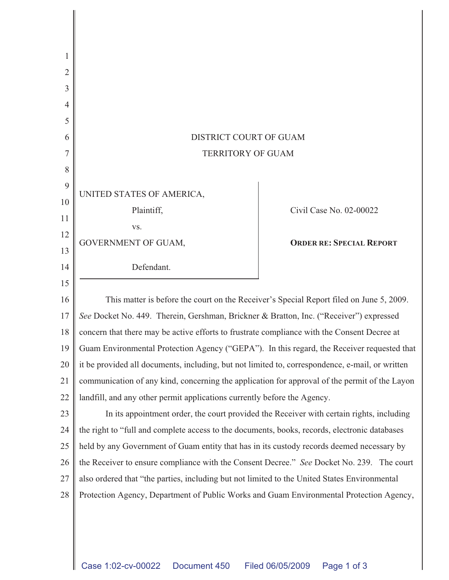| 2      |                                                                                                 |                                 |
|--------|-------------------------------------------------------------------------------------------------|---------------------------------|
| 3      |                                                                                                 |                                 |
| 4      |                                                                                                 |                                 |
| 5      |                                                                                                 |                                 |
| 6      | DISTRICT COURT OF GUAM                                                                          |                                 |
|        | <b>TERRITORY OF GUAM</b>                                                                        |                                 |
| 8      |                                                                                                 |                                 |
| 9      | UNITED STATES OF AMERICA,                                                                       |                                 |
| 10     | Plaintiff,                                                                                      | Civil Case No. 02-00022         |
| 11     |                                                                                                 |                                 |
| 12     | VS.<br>GOVERNMENT OF GUAM,                                                                      | <b>ORDER RE: SPECIAL REPORT</b> |
| 13     |                                                                                                 |                                 |
| 14     | Defendant.                                                                                      |                                 |
| 15     |                                                                                                 |                                 |
| 16     | This matter is before the court on the Receiver's Special Report filed on June 5, 2009.         |                                 |
| 17     | See Docket No. 449. Therein, Gershman, Brickner & Bratton, Inc. ("Receiver") expressed          |                                 |
| 18     | concern that there may be active efforts to frustrate compliance with the Consent Decree at     |                                 |
| 19     | Guam Environmental Protection Agency ("GEPA"). In this regard, the Receiver requested that      |                                 |
| $20\,$ | it be provided all documents, including, but not limited to, correspondence, e-mail, or written |                                 |
| 21     | communication of any kind, concerning the application for approval of the permit of the Layon   |                                 |
| 22     | landfill, and any other permit applications currently before the Agency.                        |                                 |
| 23     | In its appointment order, the court provided the Receiver with certain rights, including        |                                 |
| 24     | the right to "full and complete access to the documents, books, records, electronic databases   |                                 |
| 25     | held by any Government of Guam entity that has in its custody records deemed necessary by       |                                 |
| 26     | the Receiver to ensure compliance with the Consent Decree." See Docket No. 239. The court       |                                 |
| 27     | also ordered that "the parties, including but not limited to the United States Environmental    |                                 |
| 28     | Protection Agency, Department of Public Works and Guam Environmental Protection Agency,         |                                 |
|        |                                                                                                 |                                 |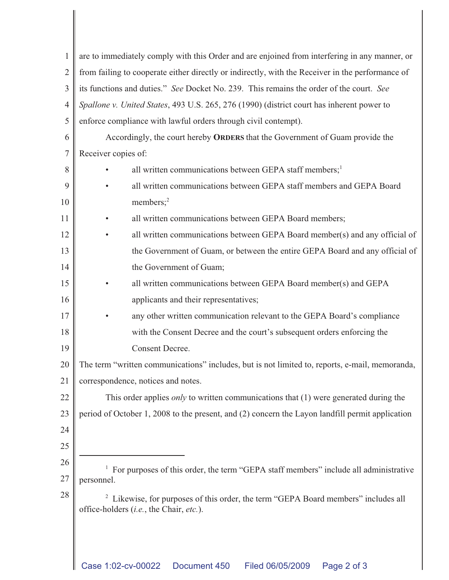| $\mathbf{1}$   | are to immediately comply with this Order and are enjoined from interfering in any manner, or                                            |  |
|----------------|------------------------------------------------------------------------------------------------------------------------------------------|--|
| $\overline{2}$ | from failing to cooperate either directly or indirectly, with the Receiver in the performance of                                         |  |
| 3              | its functions and duties." See Docket No. 239. This remains the order of the court. See                                                  |  |
| $\overline{4}$ | Spallone v. United States, 493 U.S. 265, 276 (1990) (district court has inherent power to                                                |  |
| 5              | enforce compliance with lawful orders through civil contempt).                                                                           |  |
| 6              | Accordingly, the court hereby ORDERS that the Government of Guam provide the                                                             |  |
| 7              | Receiver copies of:                                                                                                                      |  |
| 8              | all written communications between GEPA staff members; <sup>1</sup>                                                                      |  |
| 9              | all written communications between GEPA staff members and GEPA Board                                                                     |  |
| 10             | members; $2$                                                                                                                             |  |
| 11             | all written communications between GEPA Board members;                                                                                   |  |
| 12             | all written communications between GEPA Board member(s) and any official of                                                              |  |
| 13             | the Government of Guam, or between the entire GEPA Board and any official of                                                             |  |
| 14             | the Government of Guam;                                                                                                                  |  |
| 15             | all written communications between GEPA Board member(s) and GEPA                                                                         |  |
| 16             | applicants and their representatives;                                                                                                    |  |
| 17             | any other written communication relevant to the GEPA Board's compliance                                                                  |  |
| 18             | with the Consent Decree and the court's subsequent orders enforcing the                                                                  |  |
| 19             | <b>Consent Decree.</b>                                                                                                                   |  |
| 20             | The term "written communications" includes, but is not limited to, reports, e-mail, memoranda,                                           |  |
| 21             | correspondence, notices and notes.                                                                                                       |  |
| 22             | This order applies <i>only</i> to written communications that $(1)$ were generated during the                                            |  |
| 23             | period of October 1, 2008 to the present, and (2) concern the Layon landfill permit application                                          |  |
| 24             |                                                                                                                                          |  |
| 25             |                                                                                                                                          |  |
| 26             | For purposes of this order, the term "GEPA staff members" include all administrative                                                     |  |
| 27             | personnel.                                                                                                                               |  |
| 28             | <sup>2</sup> Likewise, for purposes of this order, the term "GEPA Board members" includes all<br>office-holders (i.e., the Chair, etc.). |  |
|                |                                                                                                                                          |  |
|                |                                                                                                                                          |  |